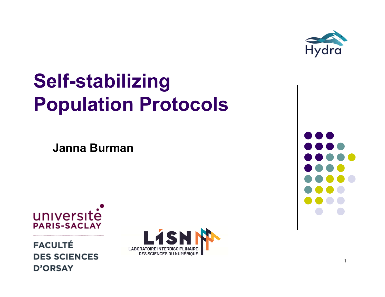

## **Self-stabilizing Population Protocols**

**Janna Burman**



**FACULTÉ DES SCIENCES D'ORSAY** 



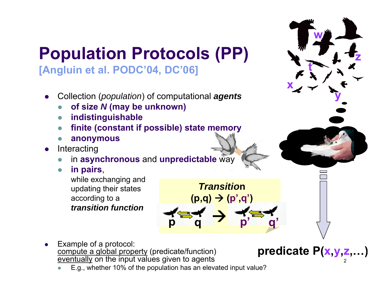

0 E.g., whether 10% of the population has an elevated input value?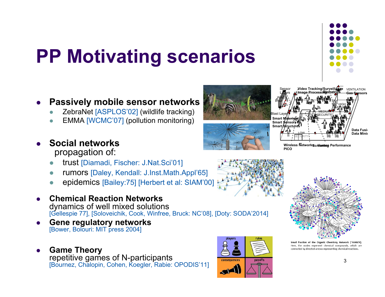# **PP Motivating scenarios**

- $\bullet$  **Passively mobile sensor networks**
	- $\bullet$ ZebraNet [ASPLOS'02] (wildlife tracking)
	- $\bullet$ EMMA [WCMC'07] (pollution monitoring)
- $\bullet$  **Social networks** propagation of:
	- $\bullet$ trust [Diamadi, Fischer: J.Nat.Sci'01]
	- $\bullet$ rumors [Daley, Kendall: J.Inst.Math.Appl'65]
	- $\bullet$ epidemics [Bailey:75] [Herbert et al: SIAM'00]
- 0 **Chemical Reaction Networks**  dynamics of well mixed solutions<br>[Gellespie 77], [Soloveichik, Cook, Winfree, Bruck: NC'08], [Doty: SODA'2014]
- 0 **Gene regulatory networks** [Bower, Bolouri: MIT press 2004]
- 0 **Game Theory** repetitive games of N-participants [Bournez, Chalopin, Cohen, Koegler, Rabie: OPODIS'11]





**Wireless NetworksScreening Performance PICO**



fraction of the Organic Chemistry Network (~0.001%). Here, the nodes represent chemical compounds, which are connected by directed arrows representing chemical reactions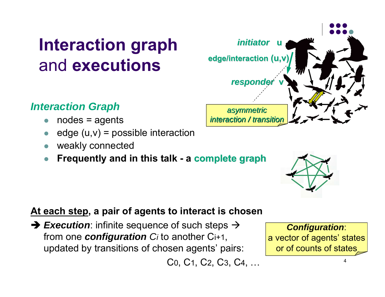### **Interaction graph** and **executions**

#### *Interaction Graph*

- $\bullet$ nodes = agents
- $\bullet$ edge  $(u,v)$  = possible interaction
- $\bullet$ weakly connected
- $\bullet$ **Frequently and in this talk - a complete graph complete graph**

#### **At each step, a pair of agents to interact is chosen**

**→ Execution**: infinite sequence of such steps → from one *configuration Ci* to another Ci+1, updated by transitions of chosen agents' pairs:

C 0, C1, C 2, C 3, C 4, …

#### 4or of counts of states

*Configuration*:

a vector of agents' states



*initiator initiator***u**

**edge/interaction edge/interaction (u,v)**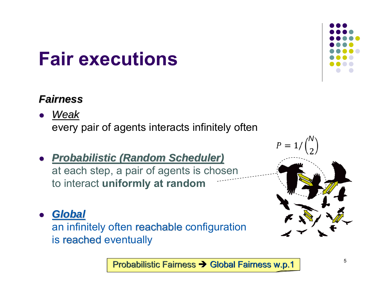## **Fair executions**

#### *Fairness Fairness*

- $\bullet$  *Weak* every pair of agents interacts infinitely often
- $\bullet$  *Probabilistic (Random Scheduler) Probabilistic (Random Scheduler)* at each step, a pair of agents is chosen to interact **uniformly at random**
- 0 *Global Global*  an infinitely often reachable configuration is reached eventually
	- Probabilistic Fairness Probabilistic Fairness Global Fairness w.p.1 Global Fairness w.p.1



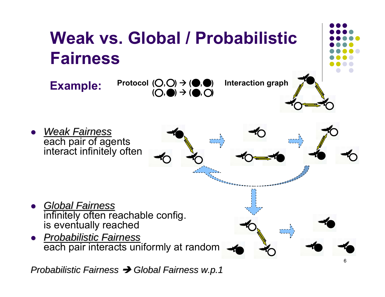

*Probabilistic Fairness Probabilistic Fairness Global Fairness w.p.1 Global Fairness w.p.1*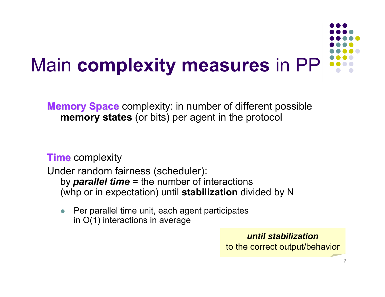

**Memory Space** complexity: in number of different possible **memory states** (or bits) per agent in the protocol

**Time** complexity

Under random fairness (scheduler):

by *parallel time* = the number of interactions (whp or in expectation) until **stabilization** divided by N

 $\bullet$  Per parallel time unit, each agent participates in O(1) interactions in average

> *until stabilization*to the correct output/behavior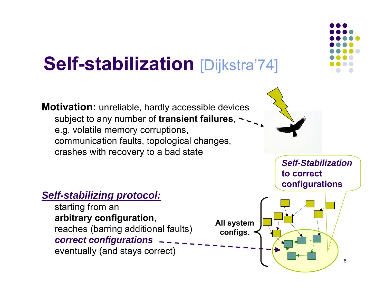## **Self-stabilization** [Dijkstra'74]

**Motivation:** unreliable, hardly accessible devices subject to any number of **transient failures**, e.g. volatile memory corruptions, communication faults, topological changes, crashes with recovery to a bad state

*Self-Stabilization***to correct configurations**

#### *Self-stabilizing protocol:*

starting from an **arbitrary configuration**, reaches (barring additional faults) *correct configurations* eventually (and stays correct)



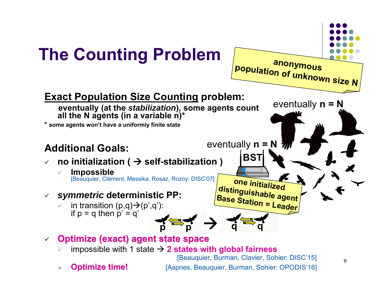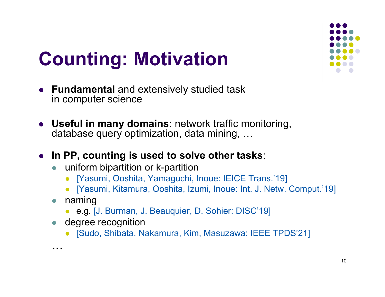

# **Counting: Motivation**

- **Fundamental** and extensively studied task in computer science
- **Useful in many domains**: network traffic monitoring, database query optimization, data mining, …
- **In PP, counting is used to solve other tasks**:
	- $\bullet$  uniform bipartition or k-partition
		- [Yasumi, Ooshita, Yamaguchi, Inoue: IEICE Trans.'19]
		- [Yasumi, Kitamura, Ooshita, Izumi, Inoue: Int. J. Netw. Comput.'19]
	- $\bullet$  naming
		- $\bullet$ e.g. [J. Burman, J. Beauquier, D. Sohier: DISC'19]
	- $\bullet$  degree recognition
		- [Sudo, Shibata, Nakamura, Kim, Masuzawa: IEEE TPDS'21]

**…**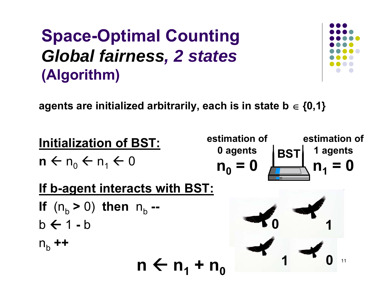

**agents are initialized arbitrarily, each is in state b {0,1}**

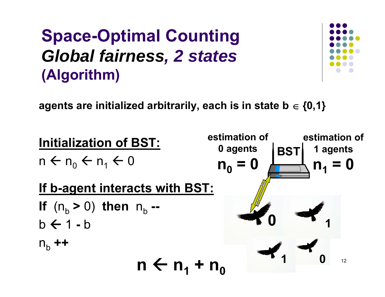

**agents are initialized arbitrarily, each is in state b {0,1}**

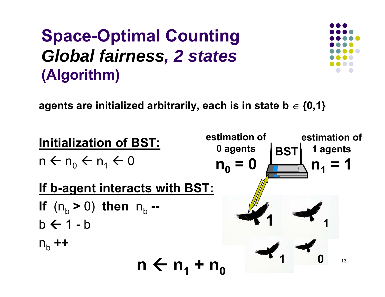

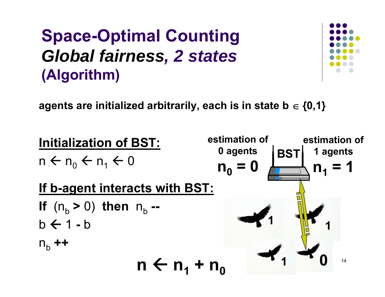

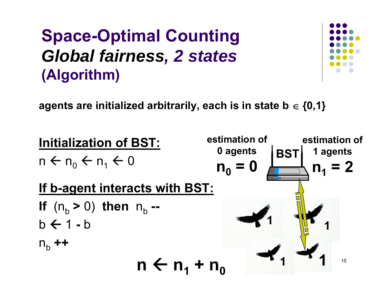

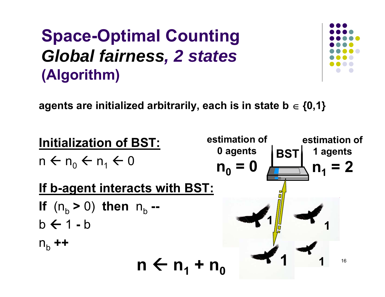

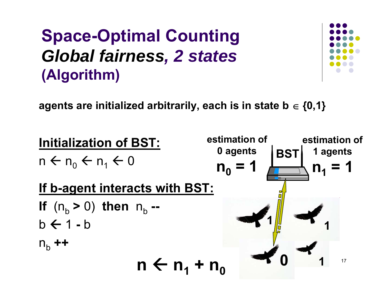

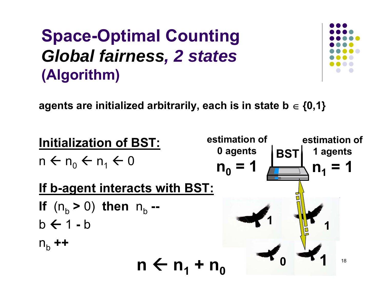

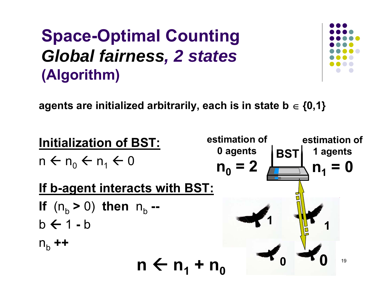

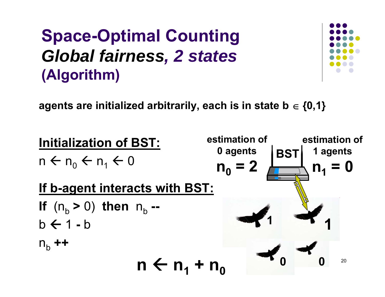

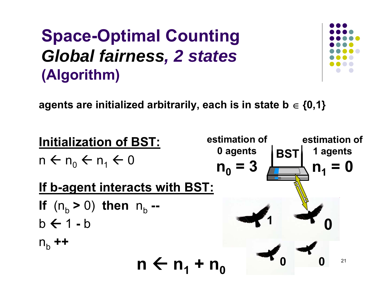

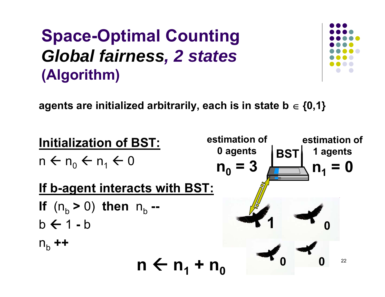

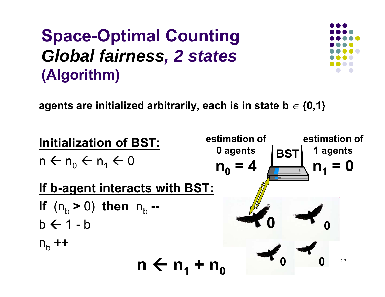

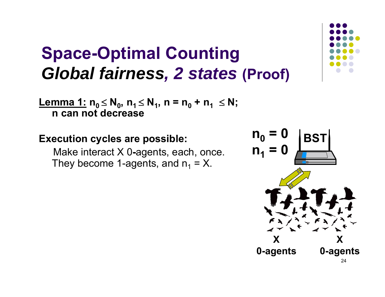<u>**Lemma 1:</u> n<sub>0</sub> ≤ N<sub>0</sub>, n<sub>1</sub> ≤ N<sub>1</sub>, n = n<sub>0</sub> + n<sub>1</sub> ≤ N;**</u> **n can not decrease**

#### **Execution cycles are possible:**

Make interact X 0**-**agents, each, once. They become 1-agents, and  $\mathsf{n}_\mathsf{1}$  = X.



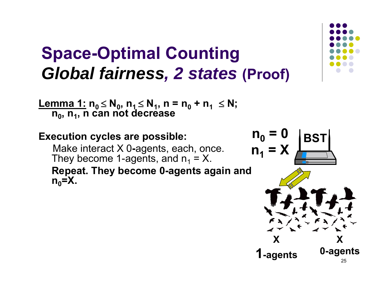<u>Lemma 1:</u> n<sub>0</sub> ≤ N<sub>0</sub>, n<sub>1</sub> ≤ N<sub>1</sub>, n = n<sub>0</sub> + n<sub>1</sub> ≤ N;  $n_0$ , n<sub>1</sub>, n can not decrease

#### **Execution cycles are possible:**

Make interact X 0**-**agents, each, once. They become 1-agents, and  $\mathsf{n}_\mathsf{1}$  = X.

**Repeat. They become 0-agents again and**   $n_0$ =X.



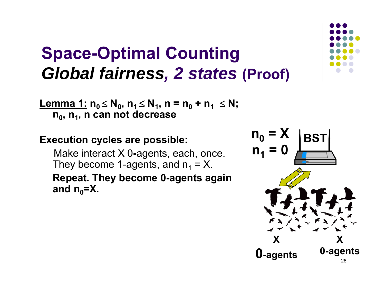**Lemma 1: n0 N0, n1 N1, n = n0 + n1 N;**  $n_0$ ,  $n_1$ , n can not decrease

#### **Execution cycles are possible:**

Make interact X 0**-**agents, each, once. They become 1-agents, and  $\mathsf{n}_\mathsf{1}$  = X. **Repeat. They become 0-agents again**  and  $n_0$ =X.



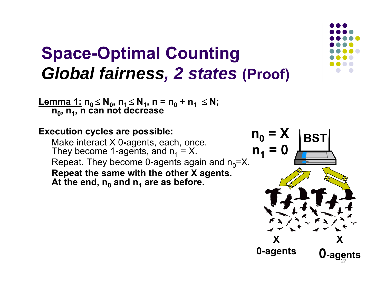**Lemma 1: n0 N0, n1 N1, n = n0 + n1 N; n0, n1, n can not decrease**

**Execution cycles are possible:** Make interact X 0**-**agents, each, once. They become 1-agents, and  $\mathsf{n}_\mathsf{1}$  = X. Repeat. They become 0-agents again and  $n_0$ =X. **Repeat the same with the other X agents. At the end, n0 and n1 are as before.**



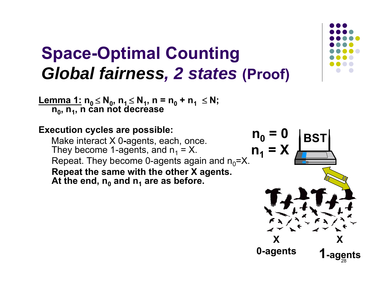**Lemma 1: n0 N0, n1 N1, n = n0 + n1 N; n<sub>0</sub>, n<sub>1</sub>, n can not decrease** 

#### **Execution cycles are possible:** Make interact X 0**-**agents, each, once. They become 1-agents, and  $\mathsf{n}_\mathsf{1}$  = X. Repeat. They become 0-agents again and  $n_0 = X$ . **Repeat the same with the other X agents. At the end, n0 and n1 are as before.**



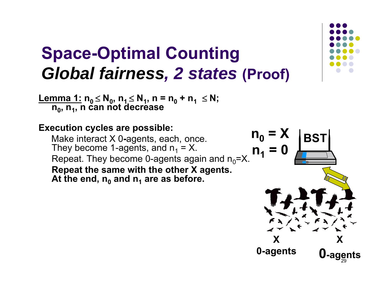**Lemma 1: n0 N0, n1 N1, n = n0 + n1 N; n0, n1, n can not decrease**

**Execution cycles are possible:** Make interact X 0**-**agents, each, once. They become 1-agents, and  $\mathsf{n}_\mathsf{1}$  = X. Repeat. They become 0-agents again and  $n_0 = X$ . **Repeat the same with the other X agents. At the end, n0 and n1 are as before.**



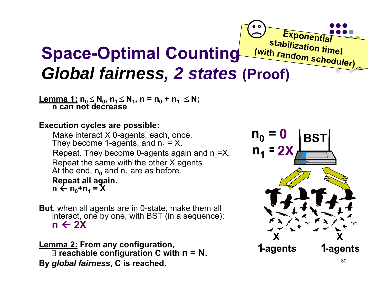#### **Exponential**<br>Stabilization time! **(with Space-Optimal Counting** *(with rand Global fairness, 2 states (Proof)*

**Lemma 1:** n<sub>0</sub> ≤ N<sub>0</sub>, n<sub>1</sub> ≤ N<sub>1</sub>, n = n<sub>0</sub> + n<sub>1</sub> ≤ N;<br>│ n can not decrease

#### **Execution cycles are possible:**

Make interact X 0**-**agents, each, once. They become 1-agents, and  $\mathsf{n}_\mathsf{1}$  = X. Repeat. They become 0-agents again and  $n_0$ =X. Repeat the same with the other X agents. At the end,  $\mathsf{n}_0$  and  $\mathsf{n}_1$  are as before. **Repeat all again.** n ← n<sub>0</sub>+n<sub>1</sub> = X

**But**, when all agents are in 0-state, make them all interact, one by one, with BST (in a sequence): **n 2X**

**Lemma 2: From any configuration, reachable configuration C with n = N. By** *global fairness global fairness***, C is reached.**

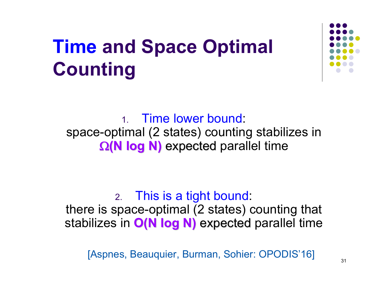# **Time and Space Optimal Counting**



1. Time lower bound: space-optimal (2 states) counting stabilizes in  $\Omega(N \log N)$  expected parallel time

#### 2. This is a tight bound:

there is space-optimal (2 states) counting that stabilizes in O(N log N) expected parallel time

[Aspnes, Beauquier, Burman, Sohier: OPODIS'16]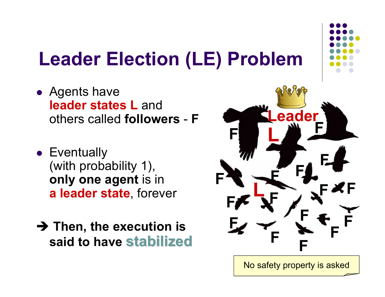## **Leader Election (LE) Problem**

- Agents have **leader states L and** others called **followers**-**F**
- **Eventually** (with probability 1), **only one agent** is in **a leader state**, forever
- **→ Then, the execution is said to have stabilized stabilized**





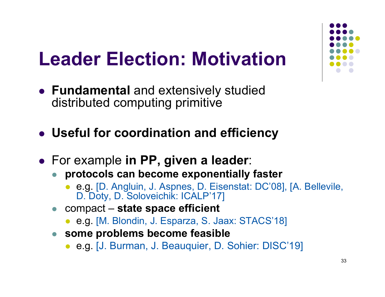## **Leader Election: Motivation**

- **Fundamental** and extensively studied distributed computing primitive
- **Useful for coordination and efficiency**
- For example **in PP, given a leader**:
	- $\bullet$  **protocols can become exponentially faster**
		- $\bullet$  e.g. [D. Angluin, J. Aspnes, D. Eisenstat: DC'08], [A. Bellevile, D. Doty, D. Soloveichik: ICALP'17]
	- compact **state space efficient**
		- e.g. [M. Blondin, J. Esparza, S. Jaax: STACS'18]
	- **some problems become feasible**
		- e.g. [J. Burman, J. Beauquier, D. Sohier: DISC'19]

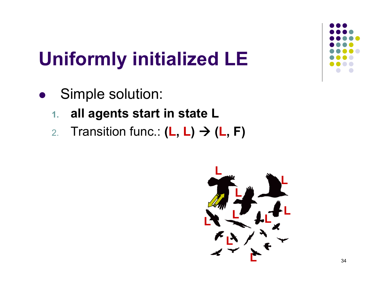- $\bullet$  Simple solution:
	- **1.all agents start in state L**
	- 2.Transition func.: **( L, L) ( L, F)**

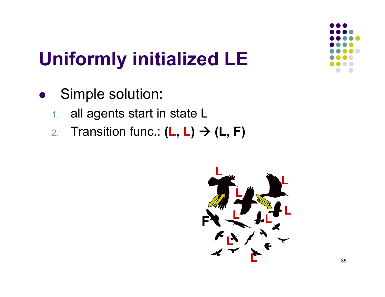- $\bullet$  Simple solution:
	- 1.all agents start in state L
	- 2.Transition func.: **( L, L) (L, F)**

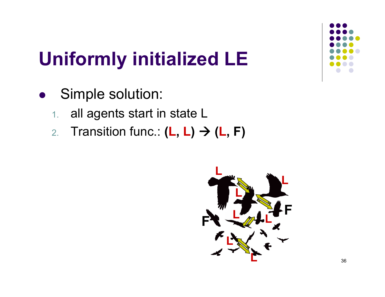- $\bullet$  Simple solution:
	- 1.all agents start in state L
	- 2.Transition func.: **( L, L) ( L, F)**

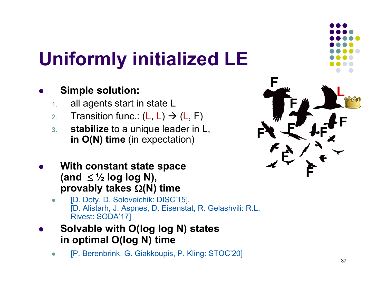#### $\bullet$ **Simple solution:**

- 1.all agents start in state L
- 2.. Transition func.: (L, L)  $\rightarrow$  (L, F)
- **3. stabilize** to a unique leader in L, **in O(N) time** (in expectation)
- $\bullet$  **With constant state space**  $($ and  $\leq \frac{1}{2}$  **log log N**), **provably takes (N) time**
	- $\bullet$  [D. Doty, D. Soloveichik: DISC'15], [D. Alistarh, J. Aspnes, D. Eisenstat, R. Gelashvili: R.L. Rivest: SODA'17]
- $\bullet$ **Solvable with O(log log N) states in optimal O(log N) time**
	- $\bullet$ [P. Berenbrink, G. Giakkoupis, P. Kling: STOC'20]

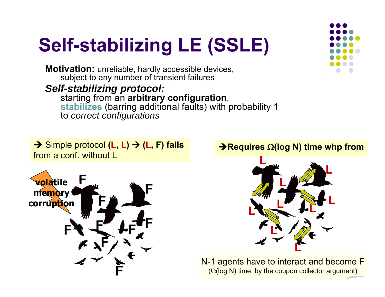# **Self-stabilizing LE (SSLE)**

**Motivation:** unreliable, hardly accessible devices, subject to any number of transient failures

*Self-stabilizing protocol:* starting from an **arbitrary configuration**, **stabilizes** (barring additional faults) with probability 1 to *correct configurations*

 Simple protocol **(L, L) (L, F) fails** from a conf. without L



#### $\blacktriangleright$ Requires  $\Omega$ (log N) time whp from



N-1 agents have to interact and become F  $(Q(log N)$  time, by the coupon collector argument)

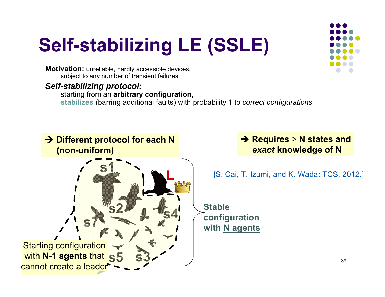# **Self-stabilizing LE (SSLE)**

**Motivation:** unreliable, hardly accessible devices, subject to any number of transient failures

*Self-stabilizing protocol:*

starting from an **arbitrary configuration**, **stabilizes** (barring additional faults) with probability 1 to *correct configurations*



**→ Requires ≥ N states and** *exact* **knowledge of N**

[S. Cai, T. Izumi, and K. Wada: TCS, 2012.]

**Stableconfiguration with N agents**

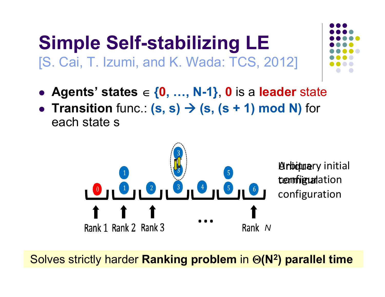#### **Simple Self-stabilizing LE** [S. Cai, T. Izumi, and K. Wada: TCS, 2012]

- **Agents' states { 0, …, N-1}**, **0** is a **leader** state
- **Transition** func.  $(s, s) \rightarrow (s, (s + 1) \text{ mod } N)$  for each state s



40 Solves strictly harder **Ranking problem** in **(N 2) parallel time**

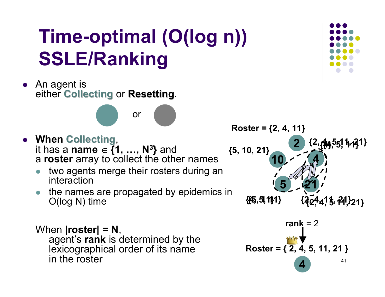## **Time-optimal (O(log n)) SSLE/Ranking**

• An agent is **Alter Collecting or Resetting.** 

#### **• When Collecting,** it has a **name {1, …, N 3 }** and a **roster** array to collect the other names

 $\bullet$  two agents merge their rosters during an interaction

or

 $\bullet$  the names are propagated by epidemics in O(log N) time

#### When **|roster| = N**, agent's **rank** is determined by the lexicographical order of its name in the roster





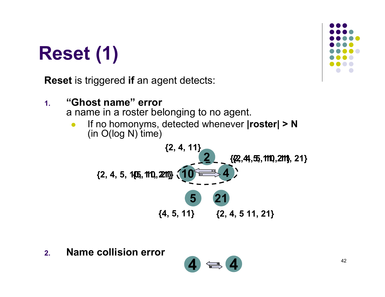## **Reset (1)**

**Reset** is triggered **if** an agent detects:



**2.Name collision error**

$$
4 \Leftrightarrow 4
$$

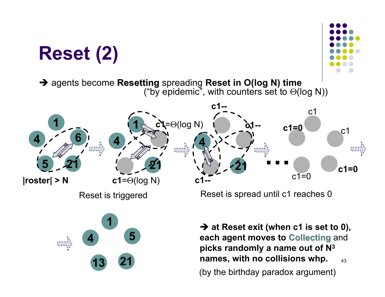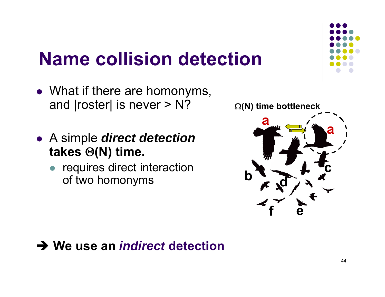## **Name collision detection**

- What if there are homonyms, and |roster| is never > N?
- A simple *direct detection* **takes (N) time.**
	- $\bullet$  requires direct interaction of two homonyms





#### **→ We use an** *indirect* **detection**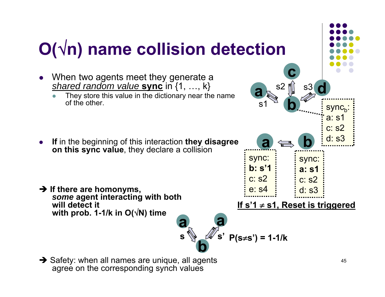

 $\rightarrow$  Safety: when all names are unique, all agents agree on the corresponding synch values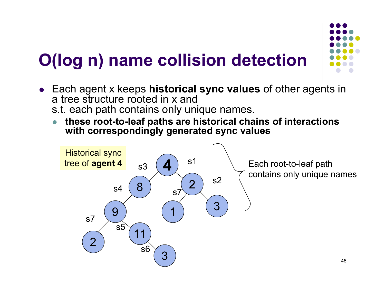## **O(log n) name collision detection**

- 
- Each agent x keeps **historical sync values** of other agents in a tree structure rooted in x ands.t. each path contains only unique names.
	- $\bullet$  **these root-to-leaf paths are historical chains of interactions with correspondingly generated sync values**

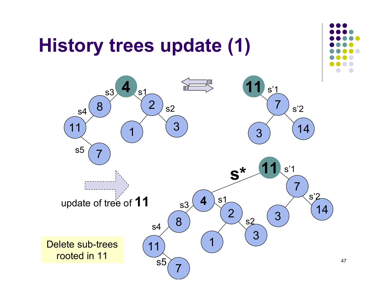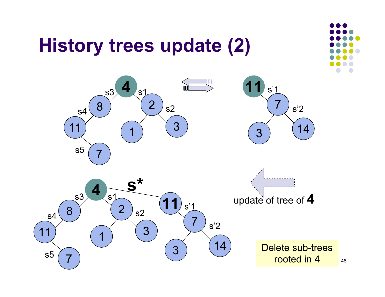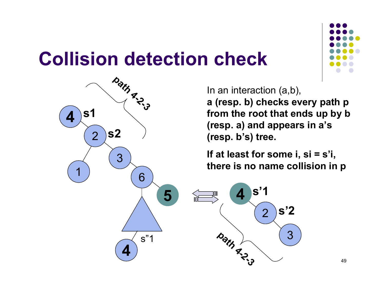### **Collision detection check**



In an interaction (a,b), **a (resp. b) checks every path p from the root that ends up by b** 

**(resp. a) and appears in a's (resp. b's) tree.**

**If at least for some i, si = s'i, there is no name collision in p**



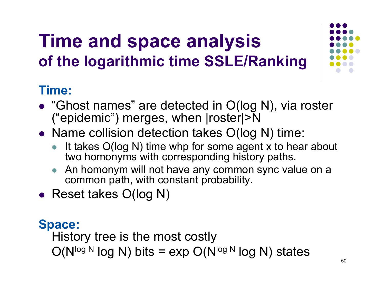## **Time and space analysis of the logarithmic time SSLE/Ranking**

#### **Time:**

- "Ghost names" are detected in O(log N), via roster ("epidemic") merges, when |roster|>N
- Name collision detection takes O(log N) time:
	- $\bullet$  It takes O(log N) time whp for some agent x to hear about two homonyms with corresponding history paths.
	- $\bullet$  An homonym will not have any common sync value on a common path, with constant probability.
- Reset takes O(log N)

#### **Space:**

History tree is the most costly

 $O(N^{\log N} \log N)$  bits = exp  $O(N^{\log N} \log N)$  states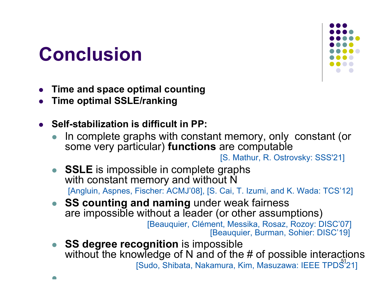## **Conclusion**

 $\blacksquare$ 



- $\bullet$ **Time and space optimal counting**
- $\bullet$ **Time optimal SSLE/ranking**
- **Self-stabilization is difficult in PP:**
	- $\bullet$  In complete graphs with constant memory, only constant (or some very particular) **functions** are computable

- $\bullet$  **SSLE** is impossible in complete graphs with constant memory and without N [Angluin, Aspnes, Fischer: ACMJ'08], [S. Cai, T. Izumi, and K. Wada: TCS'12]
- **SS counting and naming** under weak fairness are impossible without a leader (or other assumptions)

[Beauquier, Clément, Messika, Rosaz, Rozoy: DISC'07] [Beauquier, Burman, Sohier: DISC'19]

[Sudo, Shibata, Nakamura, Kim, Masuzawa: IEEE TPDS<sup>1</sup>21]  $\bullet$  **SS degree recognition** is impossible without the knowledge of N and of the # of possible interactions

<sup>[</sup>S. Mathur, R. Ostrovsky: SSS'21]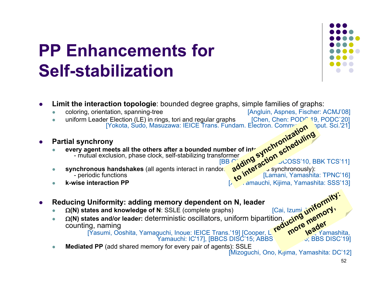### **PP Enhancements forSelf-stabilization**



- $\bullet$  **Limit the interaction topologie**: bounded degree graphs, simple families of graphs:
	- $\bullet$  coloring, orientation, spanning-tree [Angluin, Aspnes, Fischer: ACMJ'08]  $\bullet$ uniform Leader Election (LE) in rings, tori and regular graphs [Yokota, Sudo, Masuzawa: IEICE Trans. Fundam. Electron. Commun
- $\bullet$ **Partial synchrony**
- 0 **every agent meets all the others after a bounded number of into** - mutual exclusion, phase clock, self-stabilizing transformer dam. Electron. Communication r of interaction scheduling<br>er straction scheduling<br>adding action scheduling<br>to interaction synchronously):
	- $\bullet$ **synchronous handshakes** (all agents interact in randomly **a<sup>nd r</sup>unted by** synchronously):<br>periodic functions pairs interact in randomly chosen pairs synchronously): - periodic functions periodic functions [Lamani, Yamashita: TPNC'16]
	- $\bullet$ **k-wise interaction PP** [Xu, Yamauchi, Kijima, Yamashita: SSS'13]
- 0 **Reducing Uniformity: adding memory dependent on N, leader**
	- $\bullet$ • Ω(N) states and knowledge of N: SSLE (complete graphs) [Cai, Izumi, <u>N<sup>ov</sup>, <sub>O</sub>ry</u>
- $\bullet$  **(N) states and/or leader:** deterministic oscillators, uniform bipartition, counting, naming **reducing uniformity: more memory, leader**

[Yasumi, Ooshita, Yamaguchi, Inoue: IEICE Trans.'19] [Cooper, L. T. K. W. Neg, Yamashita,

Yamauchi: IC'17], [BBCS DISC'15; ABBS OPODIS'16; BBS DISC'19]

 $\bullet$ **Mediated PP** (add shared memory for every pair of agents): SSLE

[Mizoguchi, Ono, Kijima, Yamashita: DC'12]

[BB OPODIS'11, BB DCOSS'10, BBK TCS'11]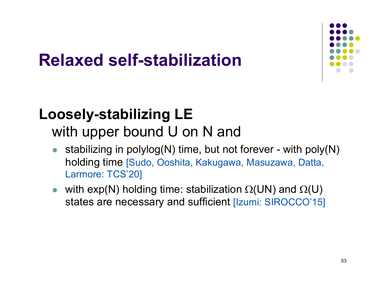

### **Relaxed self-stabilization**

#### **Loosely-stabilizing LE** with upper bound U on N and

- $\bullet$  stabilizing in polylog(N) time, but not forever - with poly(N) holding time [Sudo, Ooshita, Kakugawa, Masuzawa, Datta, Larmore: TCS'20]
- $\bullet$ • with  $exp(N)$  holding time: stabilization  $\Omega(UN)$  and  $\Omega(U)$ states are necessary and sufficient [Izumi: SIROCCO'15]